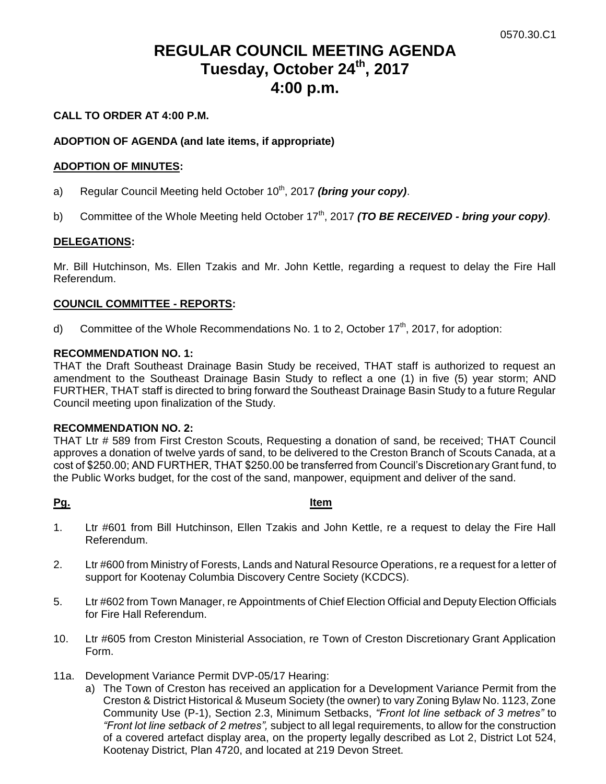# **REGULAR COUNCIL MEETING AGENDA Tuesday, October 24th, 2017 4:00 p.m.**

#### **CALL TO ORDER AT 4:00 P.M.**

#### **ADOPTION OF AGENDA (and late items, if appropriate)**

#### **ADOPTION OF MINUTES:**

- a) Regular Council Meeting held October 10<sup>th</sup>, 2017 *(bring your copy)*.
- b) Committee of the Whole Meeting held October 17<sup>th</sup>, 2017 *(TO BE RECEIVED bring your copy)*.

#### **DELEGATIONS:**

Mr. Bill Hutchinson, Ms. Ellen Tzakis and Mr. John Kettle, regarding a request to delay the Fire Hall Referendum.

#### **COUNCIL COMMITTEE - REPORTS:**

d) Committee of the Whole Recommendations No. 1 to 2, October  $17<sup>th</sup>$ , 2017, for adoption:

#### **RECOMMENDATION NO. 1:**

THAT the Draft Southeast Drainage Basin Study be received, THAT staff is authorized to request an amendment to the Southeast Drainage Basin Study to reflect a one (1) in five (5) year storm; AND FURTHER, THAT staff is directed to bring forward the Southeast Drainage Basin Study to a future Regular Council meeting upon finalization of the Study.

#### **RECOMMENDATION NO. 2:**

THAT Ltr # 589 from First Creston Scouts, Requesting a donation of sand, be received; THAT Council approves a donation of twelve yards of sand, to be delivered to the Creston Branch of Scouts Canada, at a cost of \$250.00; AND FURTHER, THAT \$250.00 be transferred from Council's Discretionary Grant fund, to the Public Works budget, for the cost of the sand, manpower, equipment and deliver of the sand.

#### **Pg. Item**

- 1. Ltr #601 from Bill Hutchinson, Ellen Tzakis and John Kettle, re a request to delay the Fire Hall Referendum.
- 2. Ltr #600 from Ministry of Forests, Lands and Natural Resource Operations, re a request for a letter of support for Kootenay Columbia Discovery Centre Society (KCDCS).
- 5. Ltr #602 from Town Manager, re Appointments of Chief Election Official and Deputy Election Officials for Fire Hall Referendum.
- 10. Ltr #605 from Creston Ministerial Association, re Town of Creston Discretionary Grant Application Form.
- 11a. Development Variance Permit DVP-05/17 Hearing:
	- a) The Town of Creston has received an application for a Development Variance Permit from the Creston & District Historical & Museum Society (the owner) to vary Zoning Bylaw No. 1123, Zone Community Use (P-1), Section 2.3, Minimum Setbacks, *"Front lot line setback of 3 metres"* to *"Front lot line setback of 2 metres",* subject to all legal requirements, to allow for the construction of a covered artefact display area, on the property legally described as Lot 2, District Lot 524, Kootenay District, Plan 4720, and located at 219 Devon Street.